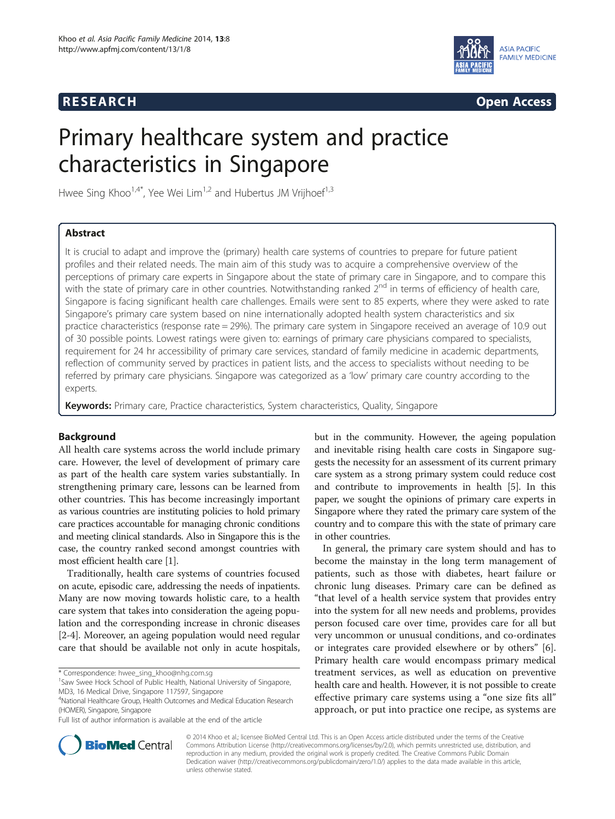# **RESEARCH RESEARCH CONSUMING ACCESS**



# Primary healthcare system and practice characteristics in Singapore

Hwee Sing Khoo<sup>1,4\*</sup>, Yee Wei Lim<sup>1,2</sup> and Hubertus JM Vrijhoef<sup>1,3</sup>

# Abstract

It is crucial to adapt and improve the (primary) health care systems of countries to prepare for future patient profiles and their related needs. The main aim of this study was to acquire a comprehensive overview of the perceptions of primary care experts in Singapore about the state of primary care in Singapore, and to compare this with the state of primary care in other countries. Notwithstanding ranked 2<sup>nd</sup> in terms of efficiency of health care, Singapore is facing significant health care challenges. Emails were sent to 85 experts, where they were asked to rate Singapore's primary care system based on nine internationally adopted health system characteristics and six practice characteristics (response rate = 29%). The primary care system in Singapore received an average of 10.9 out of 30 possible points. Lowest ratings were given to: earnings of primary care physicians compared to specialists, requirement for 24 hr accessibility of primary care services, standard of family medicine in academic departments, reflection of community served by practices in patient lists, and the access to specialists without needing to be referred by primary care physicians. Singapore was categorized as a 'low' primary care country according to the experts.

Keywords: Primary care, Practice characteristics, System characteristics, Quality, Singapore

# Background

All health care systems across the world include primary care. However, the level of development of primary care as part of the health care system varies substantially. In strengthening primary care, lessons can be learned from other countries. This has become increasingly important as various countries are instituting policies to hold primary care practices accountable for managing chronic conditions and meeting clinical standards. Also in Singapore this is the case, the country ranked second amongst countries with most efficient health care [\[1\]](#page-6-0).

Traditionally, health care systems of countries focused on acute, episodic care, addressing the needs of inpatients. Many are now moving towards holistic care, to a health care system that takes into consideration the ageing population and the corresponding increase in chronic diseases [[2-4\]](#page-6-0). Moreover, an ageing population would need regular care that should be available not only in acute hospitals,

\* Correspondence: [hwee\\_sing\\_khoo@nhg.com.sg](mailto:hwee_sing_khoo@nhg.com.sg) <sup>1</sup>

Full list of author information is available at the end of the article

but in the community. However, the ageing population and inevitable rising health care costs in Singapore suggests the necessity for an assessment of its current primary care system as a strong primary system could reduce cost and contribute to improvements in health [[5](#page-6-0)]. In this paper, we sought the opinions of primary care experts in Singapore where they rated the primary care system of the country and to compare this with the state of primary care in other countries.

In general, the primary care system should and has to become the mainstay in the long term management of patients, such as those with diabetes, heart failure or chronic lung diseases. Primary care can be defined as "that level of a health service system that provides entry into the system for all new needs and problems, provides person focused care over time, provides care for all but very uncommon or unusual conditions, and co-ordinates or integrates care provided elsewhere or by others" [\[6](#page-6-0)]. Primary health care would encompass primary medical treatment services, as well as education on preventive health care and health. However, it is not possible to create effective primary care systems using a "one size fits all" approach, or put into practice one recipe, as systems are



© 2014 Khoo et al.; licensee BioMed Central Ltd. This is an Open Access article distributed under the terms of the Creative Commons Attribution License [\(http://creativecommons.org/licenses/by/2.0\)](http://creativecommons.org/licenses/by/2.0), which permits unrestricted use, distribution, and reproduction in any medium, provided the original work is properly credited. The Creative Commons Public Domain Dedication waiver [\(http://creativecommons.org/publicdomain/zero/1.0/](http://creativecommons.org/publicdomain/zero/1.0/)) applies to the data made available in this article, unless otherwise stated.

<sup>&</sup>lt;sup>1</sup> Saw Swee Hock School of Public Health, National University of Singapore, MD3, 16 Medical Drive, Singapore 117597, Singapore

<sup>4</sup> National Healthcare Group, Health Outcomes and Medical Education Research (HOMER), Singapore, Singapore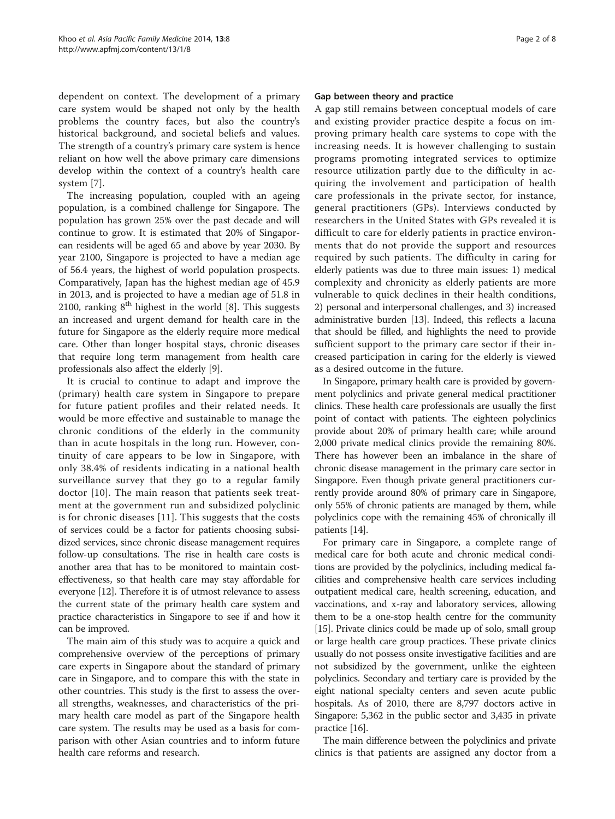dependent on context. The development of a primary care system would be shaped not only by the health problems the country faces, but also the country's historical background, and societal beliefs and values. The strength of a country's primary care system is hence reliant on how well the above primary care dimensions develop within the context of a country's health care system [[7\]](#page-6-0).

The increasing population, coupled with an ageing population, is a combined challenge for Singapore. The population has grown 25% over the past decade and will continue to grow. It is estimated that 20% of Singaporean residents will be aged 65 and above by year 2030. By year 2100, Singapore is projected to have a median age of 56.4 years, the highest of world population prospects. Comparatively, Japan has the highest median age of 45.9 in 2013, and is projected to have a median age of 51.8 in 2100, ranking  $8<sup>th</sup>$  $8<sup>th</sup>$  highest in the world [8]. This suggests an increased and urgent demand for health care in the future for Singapore as the elderly require more medical care. Other than longer hospital stays, chronic diseases that require long term management from health care professionals also affect the elderly [\[9](#page-6-0)].

It is crucial to continue to adapt and improve the (primary) health care system in Singapore to prepare for future patient profiles and their related needs. It would be more effective and sustainable to manage the chronic conditions of the elderly in the community than in acute hospitals in the long run. However, continuity of care appears to be low in Singapore, with only 38.4% of residents indicating in a national health surveillance survey that they go to a regular family doctor [[10\]](#page-6-0). The main reason that patients seek treatment at the government run and subsidized polyclinic is for chronic diseases [[11\]](#page-7-0). This suggests that the costs of services could be a factor for patients choosing subsidized services, since chronic disease management requires follow-up consultations. The rise in health care costs is another area that has to be monitored to maintain costeffectiveness, so that health care may stay affordable for everyone [\[12\]](#page-7-0). Therefore it is of utmost relevance to assess the current state of the primary health care system and practice characteristics in Singapore to see if and how it can be improved.

The main aim of this study was to acquire a quick and comprehensive overview of the perceptions of primary care experts in Singapore about the standard of primary care in Singapore, and to compare this with the state in other countries. This study is the first to assess the overall strengths, weaknesses, and characteristics of the primary health care model as part of the Singapore health care system. The results may be used as a basis for comparison with other Asian countries and to inform future health care reforms and research.

### Gap between theory and practice

A gap still remains between conceptual models of care and existing provider practice despite a focus on improving primary health care systems to cope with the increasing needs. It is however challenging to sustain programs promoting integrated services to optimize resource utilization partly due to the difficulty in acquiring the involvement and participation of health care professionals in the private sector, for instance, general practitioners (GPs). Interviews conducted by researchers in the United States with GPs revealed it is difficult to care for elderly patients in practice environments that do not provide the support and resources required by such patients. The difficulty in caring for elderly patients was due to three main issues: 1) medical complexity and chronicity as elderly patients are more vulnerable to quick declines in their health conditions, 2) personal and interpersonal challenges, and 3) increased administrative burden [\[13\]](#page-7-0). Indeed, this reflects a lacuna that should be filled, and highlights the need to provide sufficient support to the primary care sector if their increased participation in caring for the elderly is viewed as a desired outcome in the future.

In Singapore, primary health care is provided by government polyclinics and private general medical practitioner clinics. These health care professionals are usually the first point of contact with patients. The eighteen polyclinics provide about 20% of primary health care; while around 2,000 private medical clinics provide the remaining 80%. There has however been an imbalance in the share of chronic disease management in the primary care sector in Singapore. Even though private general practitioners currently provide around 80% of primary care in Singapore, only 55% of chronic patients are managed by them, while polyclinics cope with the remaining 45% of chronically ill patients [[14](#page-7-0)].

For primary care in Singapore, a complete range of medical care for both acute and chronic medical conditions are provided by the polyclinics, including medical facilities and comprehensive health care services including outpatient medical care, health screening, education, and vaccinations, and x-ray and laboratory services, allowing them to be a one-stop health centre for the community [[15](#page-7-0)]. Private clinics could be made up of solo, small group or large health care group practices. These private clinics usually do not possess onsite investigative facilities and are not subsidized by the government, unlike the eighteen polyclinics. Secondary and tertiary care is provided by the eight national specialty centers and seven acute public hospitals. As of 2010, there are 8,797 doctors active in Singapore: 5,362 in the public sector and 3,435 in private practice [[16](#page-7-0)].

The main difference between the polyclinics and private clinics is that patients are assigned any doctor from a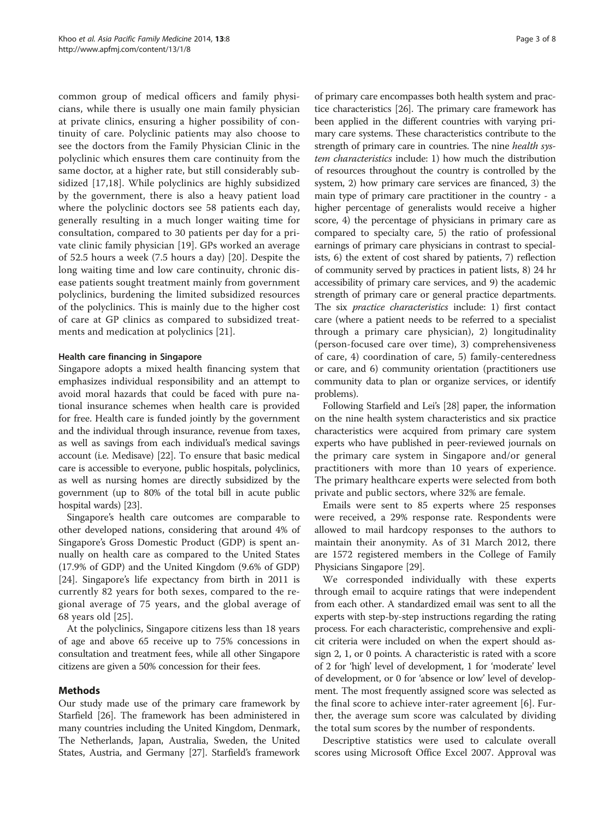common group of medical officers and family physicians, while there is usually one main family physician at private clinics, ensuring a higher possibility of continuity of care. Polyclinic patients may also choose to see the doctors from the Family Physician Clinic in the polyclinic which ensures them care continuity from the same doctor, at a higher rate, but still considerably subsidized [[17,18\]](#page-7-0). While polyclinics are highly subsidized by the government, there is also a heavy patient load where the polyclinic doctors see 58 patients each day, generally resulting in a much longer waiting time for consultation, compared to 30 patients per day for a private clinic family physician [\[19](#page-7-0)]. GPs worked an average of 52.5 hours a week (7.5 hours a day) [\[20](#page-7-0)]. Despite the long waiting time and low care continuity, chronic disease patients sought treatment mainly from government polyclinics, burdening the limited subsidized resources of the polyclinics. This is mainly due to the higher cost of care at GP clinics as compared to subsidized treatments and medication at polyclinics [\[21](#page-7-0)].

# Health care financing in Singapore

Singapore adopts a mixed health financing system that emphasizes individual responsibility and an attempt to avoid moral hazards that could be faced with pure national insurance schemes when health care is provided for free. Health care is funded jointly by the government and the individual through insurance, revenue from taxes, as well as savings from each individual's medical savings account (i.e. Medisave) [\[22\]](#page-7-0). To ensure that basic medical care is accessible to everyone, public hospitals, polyclinics, as well as nursing homes are directly subsidized by the government (up to 80% of the total bill in acute public hospital wards) [[23](#page-7-0)].

Singapore's health care outcomes are comparable to other developed nations, considering that around 4% of Singapore's Gross Domestic Product (GDP) is spent annually on health care as compared to the United States (17.9% of GDP) and the United Kingdom (9.6% of GDP) [[24\]](#page-7-0). Singapore's life expectancy from birth in 2011 is currently 82 years for both sexes, compared to the regional average of 75 years, and the global average of 68 years old [\[25](#page-7-0)].

At the polyclinics, Singapore citizens less than 18 years of age and above 65 receive up to 75% concessions in consultation and treatment fees, while all other Singapore citizens are given a 50% concession for their fees.

# Methods

Our study made use of the primary care framework by Starfield [\[26\]](#page-7-0). The framework has been administered in many countries including the United Kingdom, Denmark, The Netherlands, Japan, Australia, Sweden, the United States, Austria, and Germany [\[27\]](#page-7-0). Starfield's framework

of primary care encompasses both health system and practice characteristics [[26](#page-7-0)]. The primary care framework has been applied in the different countries with varying primary care systems. These characteristics contribute to the strength of primary care in countries. The nine *health sys*tem characteristics include: 1) how much the distribution of resources throughout the country is controlled by the system, 2) how primary care services are financed, 3) the main type of primary care practitioner in the country - a higher percentage of generalists would receive a higher score, 4) the percentage of physicians in primary care as compared to specialty care, 5) the ratio of professional earnings of primary care physicians in contrast to specialists, 6) the extent of cost shared by patients, 7) reflection of community served by practices in patient lists, 8) 24 hr accessibility of primary care services, and 9) the academic strength of primary care or general practice departments. The six practice characteristics include: 1) first contact care (where a patient needs to be referred to a specialist through a primary care physician), 2) longitudinality (person-focused care over time), 3) comprehensiveness of care, 4) coordination of care, 5) family-centeredness or care, and 6) community orientation (practitioners use community data to plan or organize services, or identify problems).

Following Starfield and Lei's [\[28](#page-7-0)] paper, the information on the nine health system characteristics and six practice characteristics were acquired from primary care system experts who have published in peer-reviewed journals on the primary care system in Singapore and/or general practitioners with more than 10 years of experience. The primary healthcare experts were selected from both private and public sectors, where 32% are female.

Emails were sent to 85 experts where 25 responses were received, a 29% response rate. Respondents were allowed to mail hardcopy responses to the authors to maintain their anonymity. As of 31 March 2012, there are 1572 registered members in the College of Family Physicians Singapore [\[29](#page-7-0)].

We corresponded individually with these experts through email to acquire ratings that were independent from each other. A standardized email was sent to all the experts with step-by-step instructions regarding the rating process. For each characteristic, comprehensive and explicit criteria were included on when the expert should assign 2, 1, or 0 points. A characteristic is rated with a score of 2 for 'high' level of development, 1 for 'moderate' level of development, or 0 for 'absence or low' level of development. The most frequently assigned score was selected as the final score to achieve inter-rater agreement [\[6](#page-6-0)]. Further, the average sum score was calculated by dividing the total sum scores by the number of respondents.

Descriptive statistics were used to calculate overall scores using Microsoft Office Excel 2007. Approval was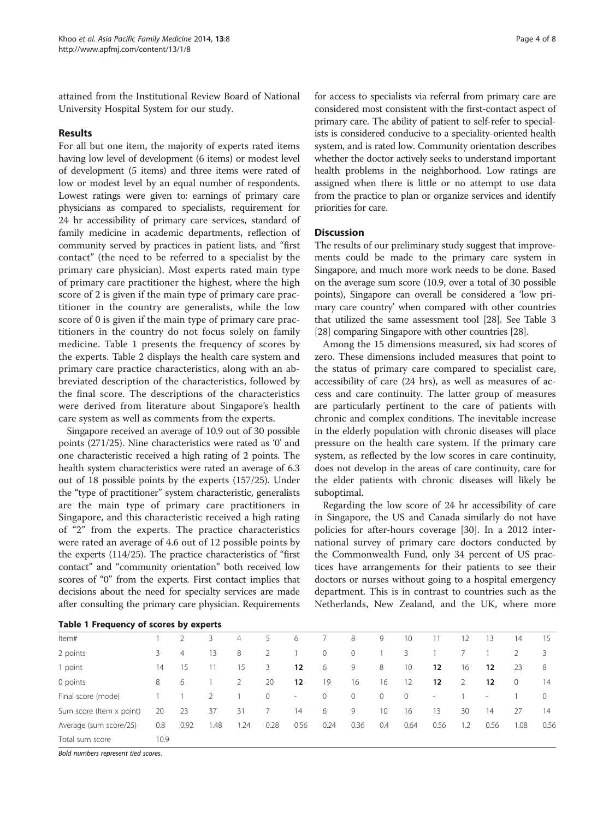attained from the Institutional Review Board of National University Hospital System for our study.

# Results

For all but one item, the majority of experts rated items having low level of development (6 items) or modest level of development (5 items) and three items were rated of low or modest level by an equal number of respondents. Lowest ratings were given to: earnings of primary care physicians as compared to specialists, requirement for 24 hr accessibility of primary care services, standard of family medicine in academic departments, reflection of community served by practices in patient lists, and "first contact" (the need to be referred to a specialist by the primary care physician). Most experts rated main type of primary care practitioner the highest, where the high score of 2 is given if the main type of primary care practitioner in the country are generalists, while the low score of 0 is given if the main type of primary care practitioners in the country do not focus solely on family medicine. Table 1 presents the frequency of scores by the experts. Table [2](#page-4-0) displays the health care system and primary care practice characteristics, along with an abbreviated description of the characteristics, followed by the final score. The descriptions of the characteristics were derived from literature about Singapore's health care system as well as comments from the experts.

Singapore received an average of 10.9 out of 30 possible points (271/25). Nine characteristics were rated as '0' and one characteristic received a high rating of 2 points. The health system characteristics were rated an average of 6.3 out of 18 possible points by the experts (157/25). Under the "type of practitioner" system characteristic, generalists are the main type of primary care practitioners in Singapore, and this characteristic received a high rating of "2" from the experts. The practice characteristics were rated an average of 4.6 out of 12 possible points by the experts (114/25). The practice characteristics of "first contact" and "community orientation" both received low scores of "0" from the experts. First contact implies that decisions about the need for specialty services are made after consulting the primary care physician. Requirements

for access to specialists via referral from primary care are considered most consistent with the first-contact aspect of primary care. The ability of patient to self-refer to specialists is considered conducive to a speciality-oriented health system, and is rated low. Community orientation describes whether the doctor actively seeks to understand important health problems in the neighborhood. Low ratings are assigned when there is little or no attempt to use data from the practice to plan or organize services and identify priorities for care.

# **Discussion**

The results of our preliminary study suggest that improvements could be made to the primary care system in Singapore, and much more work needs to be done. Based on the average sum score (10.9, over a total of 30 possible points), Singapore can overall be considered a 'low primary care country' when compared with other countries that utilized the same assessment tool [\[28\]](#page-7-0). See Table [3](#page-5-0) [[28](#page-7-0)] comparing Singapore with other countries [\[28](#page-7-0)].

Among the 15 dimensions measured, six had scores of zero. These dimensions included measures that point to the status of primary care compared to specialist care, accessibility of care (24 hrs), as well as measures of access and care continuity. The latter group of measures are particularly pertinent to the care of patients with chronic and complex conditions. The inevitable increase in the elderly population with chronic diseases will place pressure on the health care system. If the primary care system, as reflected by the low scores in care continuity, does not develop in the areas of care continuity, care for the elder patients with chronic diseases will likely be suboptimal.

Regarding the low score of 24 hr accessibility of care in Singapore, the US and Canada similarly do not have policies for after-hours coverage [\[30](#page-7-0)]. In a 2012 international survey of primary care doctors conducted by the Commonwealth Fund, only 34 percent of US practices have arrangements for their patients to see their doctors or nurses without going to a hospital emergency department. This is in contrast to countries such as the Netherlands, New Zealand, and the UK, where more

| Item#                    |      |      | 3.   | 4   | 5.           | 6                        |      | 8            | 9            | 10      |                          | $\overline{2}$ | 13                       | 14          | 15       |
|--------------------------|------|------|------|-----|--------------|--------------------------|------|--------------|--------------|---------|--------------------------|----------------|--------------------------|-------------|----------|
| 2 points                 | 3.   | 4    | 13   | 8   | 2            |                          | 0    | $\mathbf{0}$ |              | 3       |                          |                |                          |             | 3.       |
| 1 point                  | 14   | 15   |      | 15  | 3            | 12                       | 6    | 9            | 8            | 10      | 12                       | 16             | 12                       | 23          | -8       |
| 0 points                 | 8    | 6    |      |     | 20           | 12                       | 19   | 16           | 16           | 12      | 12                       | 2              | 12                       | $\mathbf 0$ | 14       |
| Final score (mode)       |      |      | 2    |     | $\mathbf{0}$ | $\overline{\phantom{a}}$ | 0    | $\mathbf{0}$ | $\mathbf{0}$ | $\circ$ | $\overline{\phantom{a}}$ |                | $\overline{\phantom{a}}$ |             | $\Omega$ |
| Sum score (Item x point) | 20   | 23   | 37   | 31  | 7            | 14                       | 6    | 9            | 10           | 16      | 13                       | 30             | 14                       | 27          | 14       |
| Average (sum score/25)   | 0.8  | 0.92 | 1.48 | .24 | 0.28         | 0.56                     | 0.24 | 0.36         | 0.4          | 0.64    | 0.56                     | 1.2            | 0.56                     | 1.08        | 0.56     |
| Total sum score          | 10.9 |      |      |     |              |                          |      |              |              |         |                          |                |                          |             |          |

Table 1 Frequency of scores by experts

Bold numbers represent tied scores.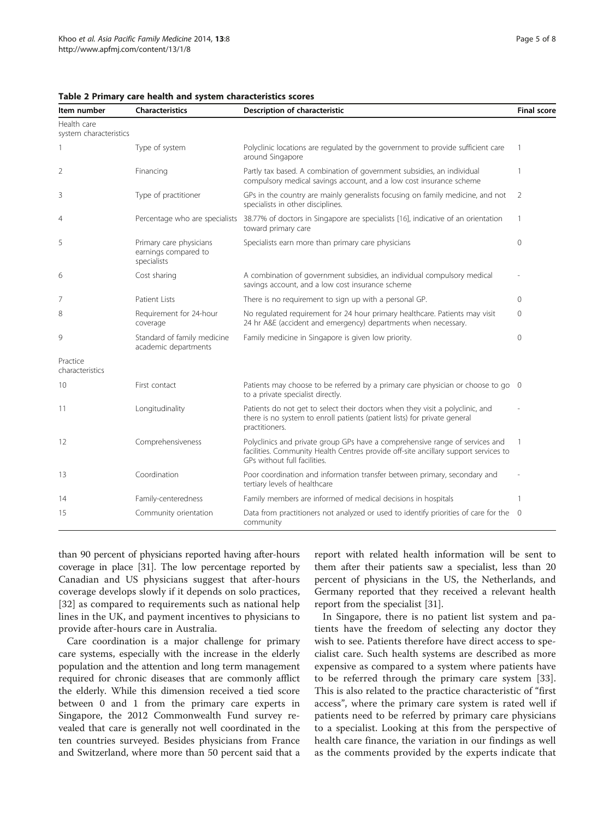| Item number                           | <b>Characteristics</b>                                         | <b>Description of characteristic</b>                                                                                                                                                                | <b>Final score</b> |  |  |
|---------------------------------------|----------------------------------------------------------------|-----------------------------------------------------------------------------------------------------------------------------------------------------------------------------------------------------|--------------------|--|--|
| Health care<br>system characteristics |                                                                |                                                                                                                                                                                                     |                    |  |  |
|                                       | Type of system                                                 | Polyclinic locations are regulated by the government to provide sufficient care<br>around Singapore                                                                                                 |                    |  |  |
| 2                                     | Financing                                                      | Partly tax based. A combination of government subsidies, an individual<br>compulsory medical savings account, and a low cost insurance scheme                                                       |                    |  |  |
| 3                                     | Type of practitioner                                           | GPs in the country are mainly generalists focusing on family medicine, and not<br>specialists in other disciplines.                                                                                 |                    |  |  |
| 4                                     | Percentage who are specialists                                 | 38.77% of doctors in Singapore are specialists [16], indicative of an orientation<br>toward primary care                                                                                            |                    |  |  |
| 5                                     | Primary care physicians<br>earnings compared to<br>specialists | Specialists earn more than primary care physicians                                                                                                                                                  |                    |  |  |
| 6                                     | Cost sharing                                                   | A combination of government subsidies, an individual compulsory medical<br>savings account, and a low cost insurance scheme                                                                         |                    |  |  |
| 7                                     | Patient Lists                                                  | There is no requirement to sign up with a personal GP.                                                                                                                                              | $\mathbf{0}$       |  |  |
| 8                                     | Requirement for 24-hour<br>coverage                            | No regulated requirement for 24 hour primary healthcare. Patients may visit<br>24 hr A&E (accident and emergency) departments when necessary.                                                       |                    |  |  |
| 9                                     | Standard of family medicine<br>academic departments            | Family medicine in Singapore is given low priority.                                                                                                                                                 |                    |  |  |
| Practice<br>characteristics           |                                                                |                                                                                                                                                                                                     |                    |  |  |
| 10                                    | First contact                                                  | Patients may choose to be referred by a primary care physician or choose to go 0<br>to a private specialist directly.                                                                               |                    |  |  |
| 11                                    | Longitudinality                                                | Patients do not get to select their doctors when they visit a polyclinic, and<br>there is no system to enroll patients (patient lists) for private general<br>practitioners.                        |                    |  |  |
| 12                                    | Comprehensiveness                                              | Polyclinics and private group GPs have a comprehensive range of services and<br>facilities. Community Health Centres provide off-site ancillary support services to<br>GPs without full facilities. |                    |  |  |
| 13                                    | Coordination                                                   | Poor coordination and information transfer between primary, secondary and<br>tertiary levels of healthcare                                                                                          |                    |  |  |
| 14                                    | Family-centeredness                                            | Family members are informed of medical decisions in hospitals                                                                                                                                       | 1                  |  |  |
| 15                                    | Community orientation                                          | Data from practitioners not analyzed or used to identify priorities of care for the 0<br>community                                                                                                  |                    |  |  |

<span id="page-4-0"></span>Table 2 Primary care health and system characteristics scores

than 90 percent of physicians reported having after-hours coverage in place [\[31](#page-7-0)]. The low percentage reported by Canadian and US physicians suggest that after-hours coverage develops slowly if it depends on solo practices, [[32\]](#page-7-0) as compared to requirements such as national help lines in the UK, and payment incentives to physicians to provide after-hours care in Australia.

Care coordination is a major challenge for primary care systems, especially with the increase in the elderly population and the attention and long term management required for chronic diseases that are commonly afflict the elderly. While this dimension received a tied score between 0 and 1 from the primary care experts in Singapore, the 2012 Commonwealth Fund survey revealed that care is generally not well coordinated in the ten countries surveyed. Besides physicians from France and Switzerland, where more than 50 percent said that a report with related health information will be sent to them after their patients saw a specialist, less than 20 percent of physicians in the US, the Netherlands, and Germany reported that they received a relevant health report from the specialist [[31](#page-7-0)].

In Singapore, there is no patient list system and patients have the freedom of selecting any doctor they wish to see. Patients therefore have direct access to specialist care. Such health systems are described as more expensive as compared to a system where patients have to be referred through the primary care system [\[33](#page-7-0)]. This is also related to the practice characteristic of "first access", where the primary care system is rated well if patients need to be referred by primary care physicians to a specialist. Looking at this from the perspective of health care finance, the variation in our findings as well as the comments provided by the experts indicate that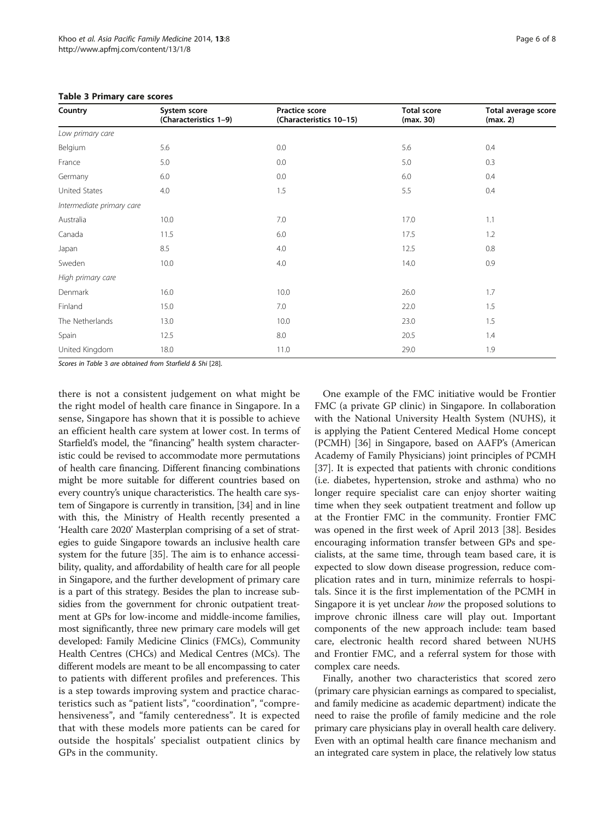| Country                   | System score          | <b>Practice score</b>   | <b>Total score</b> | Total average score |  |  |
|---------------------------|-----------------------|-------------------------|--------------------|---------------------|--|--|
|                           | (Characteristics 1-9) | (Characteristics 10-15) | (max. 30)          | (max. 2)            |  |  |
| Low primary care          |                       |                         |                    |                     |  |  |
| Belgium                   | 5.6                   | 0.0                     | 5.6                | 0.4                 |  |  |
| France                    | 5.0                   | 0.0                     | 5.0                | 0.3                 |  |  |
| Germany                   | 6.0                   | 0.0                     | 6.0                | 0.4                 |  |  |
| United States             | 4.0                   | 1.5                     | 5.5                | 0.4                 |  |  |
| Intermediate primary care |                       |                         |                    |                     |  |  |
| Australia                 | 10.0                  | 7.0                     | 17.0               | 1.1                 |  |  |
| Canada                    | 11.5                  | 6.0                     | 17.5               | 1.2                 |  |  |
| Japan                     | 8.5                   | 4.0                     | 12.5               | 0.8                 |  |  |
| Sweden                    | 10.0                  | 4.0                     | 14.0               | 0.9                 |  |  |
| High primary care         |                       |                         |                    |                     |  |  |
| Denmark                   | 16.0                  | 10.0                    | 26.0               | 1.7                 |  |  |
| Finland                   | 15.0                  | 7.0                     | 22.0               | 1.5                 |  |  |
| The Netherlands           | 13.0                  | 10.0                    | 23.0               | 1.5                 |  |  |
| Spain                     | 12.5                  | 8.0                     | 20.5               | 1.4                 |  |  |
| United Kingdom            | 18.0                  | 11.0                    | 29.0               | 1.9                 |  |  |

#### <span id="page-5-0"></span>Table 3 Primary care scores

Scores in Table 3 are obtained from Starfield & Shi [[28\]](#page-7-0).

there is not a consistent judgement on what might be the right model of health care finance in Singapore. In a sense, Singapore has shown that it is possible to achieve an efficient health care system at lower cost. In terms of Starfield's model, the "financing" health system characteristic could be revised to accommodate more permutations of health care financing. Different financing combinations might be more suitable for different countries based on every country's unique characteristics. The health care system of Singapore is currently in transition, [\[34](#page-7-0)] and in line with this, the Ministry of Health recently presented a 'Health care 2020' Masterplan comprising of a set of strategies to guide Singapore towards an inclusive health care system for the future [[35](#page-7-0)]. The aim is to enhance accessibility, quality, and affordability of health care for all people in Singapore, and the further development of primary care is a part of this strategy. Besides the plan to increase subsidies from the government for chronic outpatient treatment at GPs for low-income and middle-income families, most significantly, three new primary care models will get developed: Family Medicine Clinics (FMCs), Community Health Centres (CHCs) and Medical Centres (MCs). The different models are meant to be all encompassing to cater to patients with different profiles and preferences. This is a step towards improving system and practice characteristics such as "patient lists", "coordination", "comprehensiveness", and "family centeredness". It is expected that with these models more patients can be cared for outside the hospitals' specialist outpatient clinics by GPs in the community.

One example of the FMC initiative would be Frontier FMC (a private GP clinic) in Singapore. In collaboration with the National University Health System (NUHS), it is applying the Patient Centered Medical Home concept (PCMH) [[36\]](#page-7-0) in Singapore, based on AAFP's (American Academy of Family Physicians) joint principles of PCMH [[37\]](#page-7-0). It is expected that patients with chronic conditions (i.e. diabetes, hypertension, stroke and asthma) who no longer require specialist care can enjoy shorter waiting time when they seek outpatient treatment and follow up at the Frontier FMC in the community. Frontier FMC was opened in the first week of April 2013 [[38\]](#page-7-0). Besides encouraging information transfer between GPs and specialists, at the same time, through team based care, it is expected to slow down disease progression, reduce complication rates and in turn, minimize referrals to hospitals. Since it is the first implementation of the PCMH in Singapore it is yet unclear *how* the proposed solutions to improve chronic illness care will play out. Important components of the new approach include: team based care, electronic health record shared between NUHS and Frontier FMC, and a referral system for those with complex care needs.

Finally, another two characteristics that scored zero (primary care physician earnings as compared to specialist, and family medicine as academic department) indicate the need to raise the profile of family medicine and the role primary care physicians play in overall health care delivery. Even with an optimal health care finance mechanism and an integrated care system in place, the relatively low status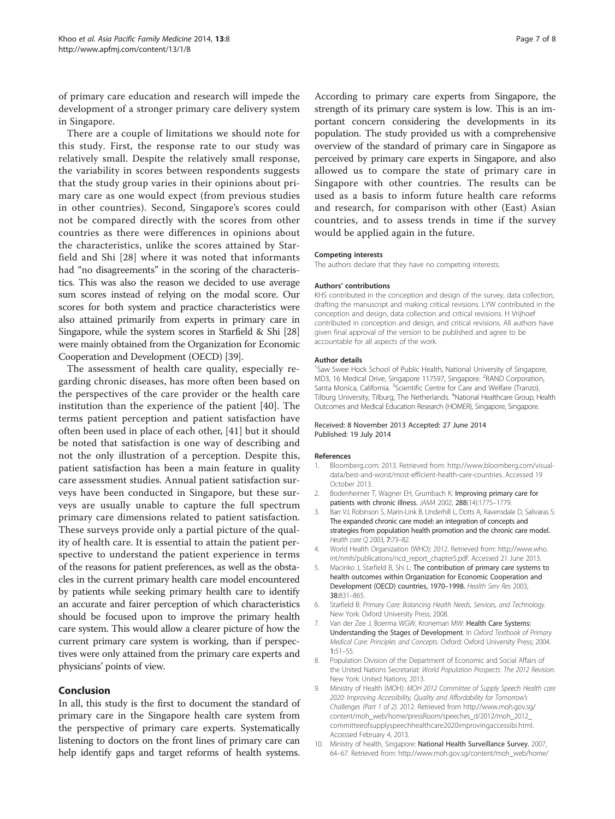<span id="page-6-0"></span>of primary care education and research will impede the development of a stronger primary care delivery system in Singapore.

There are a couple of limitations we should note for this study. First, the response rate to our study was relatively small. Despite the relatively small response, the variability in scores between respondents suggests that the study group varies in their opinions about primary care as one would expect (from previous studies in other countries). Second, Singapore's scores could not be compared directly with the scores from other countries as there were differences in opinions about the characteristics, unlike the scores attained by Starfield and Shi [[28](#page-7-0)] where it was noted that informants had "no disagreements" in the scoring of the characteristics. This was also the reason we decided to use average sum scores instead of relying on the modal score. Our scores for both system and practice characteristics were also attained primarily from experts in primary care in Singapore, while the system scores in Starfield & Shi [[28](#page-7-0)] were mainly obtained from the Organization for Economic Cooperation and Development (OECD) [\[39\]](#page-7-0).

The assessment of health care quality, especially regarding chronic diseases, has more often been based on the perspectives of the care provider or the health care institution than the experience of the patient [\[40](#page-7-0)]. The terms patient perception and patient satisfaction have often been used in place of each other, [[41\]](#page-7-0) but it should be noted that satisfaction is one way of describing and not the only illustration of a perception. Despite this, patient satisfaction has been a main feature in quality care assessment studies. Annual patient satisfaction surveys have been conducted in Singapore, but these surveys are usually unable to capture the full spectrum primary care dimensions related to patient satisfaction. These surveys provide only a partial picture of the quality of health care. It is essential to attain the patient perspective to understand the patient experience in terms of the reasons for patient preferences, as well as the obstacles in the current primary health care model encountered by patients while seeking primary health care to identify an accurate and fairer perception of which characteristics should be focused upon to improve the primary health care system. This would allow a clearer picture of how the current primary care system is working, than if perspectives were only attained from the primary care experts and physicians' points of view.

## Conclusion

In all, this study is the first to document the standard of primary care in the Singapore health care system from the perspective of primary care experts. Systematically listening to doctors on the front lines of primary care can help identify gaps and target reforms of health systems.

According to primary care experts from Singapore, the strength of its primary care system is low. This is an important concern considering the developments in its population. The study provided us with a comprehensive overview of the standard of primary care in Singapore as perceived by primary care experts in Singapore, and also allowed us to compare the state of primary care in Singapore with other countries. The results can be used as a basis to inform future health care reforms and research, for comparison with other (East) Asian countries, and to assess trends in time if the survey would be applied again in the future.

#### Competing interests

The authors declare that they have no competing interests.

#### Authors' contributions

KHS contributed in the conception and design of the survey, data collection, drafting the manuscript and making critical revisions. LYW contributed in the conception and design, data collection and critical revisions. H Vrijhoef contributed in conception and design, and critical revisions. All authors have given final approval of the version to be published and agree to be accountable for all aspects of the work.

#### Author details

<sup>1</sup>Saw Swee Hock School of Public Health, National University of Singapore MD3, 16 Medical Drive, Singapore 117597, Singapore. <sup>2</sup>RAND Corporation, Santa Monica, California. <sup>3</sup>Scientific Centre for Care and Welfare (Tranzo), Tilburg University, Tilburg, The Netherlands. <sup>4</sup>National Healthcare Group, Health Outcomes and Medical Education Research (HOMER), Singapore, Singapore.

#### Received: 8 November 2013 Accepted: 27 June 2014 Published: 19 July 2014

#### References

- 1. Bloomberg.com: 2013. Retrieved from: [http://www.bloomberg.com/visual](http://www.bloomberg.com/visual-data/best-and-worst/most-efficient-health-care-countries)[data/best-and-worst/most-efficient-health-care-countries](http://www.bloomberg.com/visual-data/best-and-worst/most-efficient-health-care-countries). Accessed 19 October 2013.
- 2. Bodenheimer T, Wagner EH, Grumbach K: Improving primary care for patients with chronic illness. JAMA 2002, 288(14):1775–1779.
- 3. Barr VJ, Robinson S, Marin-Link B, Underhill L, Dotts A, Ravensdale D, Salivaras S: The expanded chronic care model: an integration of concepts and strategies from population health promotion and the chronic care model. Health care Q 2003, 7:73-82.
- 4. World Health Organization (WHO): 2012. Retrieved from: [http://www.who.](http://www.who.int/nmh/publications/ncd_report_chapter5.pdf) [int/nmh/publications/ncd\\_report\\_chapter5.pdf](http://www.who.int/nmh/publications/ncd_report_chapter5.pdf). Accessed 21 June 2013.
- 5. Macinko J, Starfield B, Shi L: The contribution of primary care systems to health outcomes within Organization for Economic Cooperation and Development (OECD) countries, 1970–1998. Health Serv Res 2003, 38:831–865.
- Starfield B: Primary Care: Balancing Health Needs, Services, and Technology. New York: Oxford University Press; 2008.
- 7. Van der Zee J, Boerma WGW, Kroneman MW: Health Care Systems: Understanding the Stages of Development. In Oxford Textbook of Primary Medical Care: Principles and Concepts. Oxford: Oxford University Press; 2004. 1:51–55.
- 8. Population Division of the Department of Economic and Social Affairs of the United Nations Secretariat: World Population Prospects: The 2012 Revision. New York: United Nations; 2013.
- 9. Ministry of Health (MOH): MOH 2012 Committee of Supply Speech Health care 2020: Improving Accessibility, Quality and Affordability for Tomorrow's Challenges (Part 1 of 2). 2012. Retrieved from [http://www.moh.gov.sg/](http://www.moh.gov.sg/content/moh_web/home/pressRoom/speeches_d/2012/moh_2012_committeeofsupplyspeechhealthcare2020improvingaccessibi.html) [content/moh\\_web/home/pressRoom/speeches\\_d/2012/moh\\_2012\\_](http://www.moh.gov.sg/content/moh_web/home/pressRoom/speeches_d/2012/moh_2012_committeeofsupplyspeechhealthcare2020improvingaccessibi.html) [committeeofsupplyspeechhealthcare2020improvingaccessibi.html](http://www.moh.gov.sg/content/moh_web/home/pressRoom/speeches_d/2012/moh_2012_committeeofsupplyspeechhealthcare2020improvingaccessibi.html). Accessed February 4, 2013.
- 10. Ministry of health, Singapore: National Health Surveillance Survey. 2007, 64–67. Retrieved from: [http://www.moh.gov.sg/content/moh\\_web/home/](http://www.moh.gov.sg/content/moh_web/home/Publications/Reports/2009/national_health_surveillancesurvey2007.html)